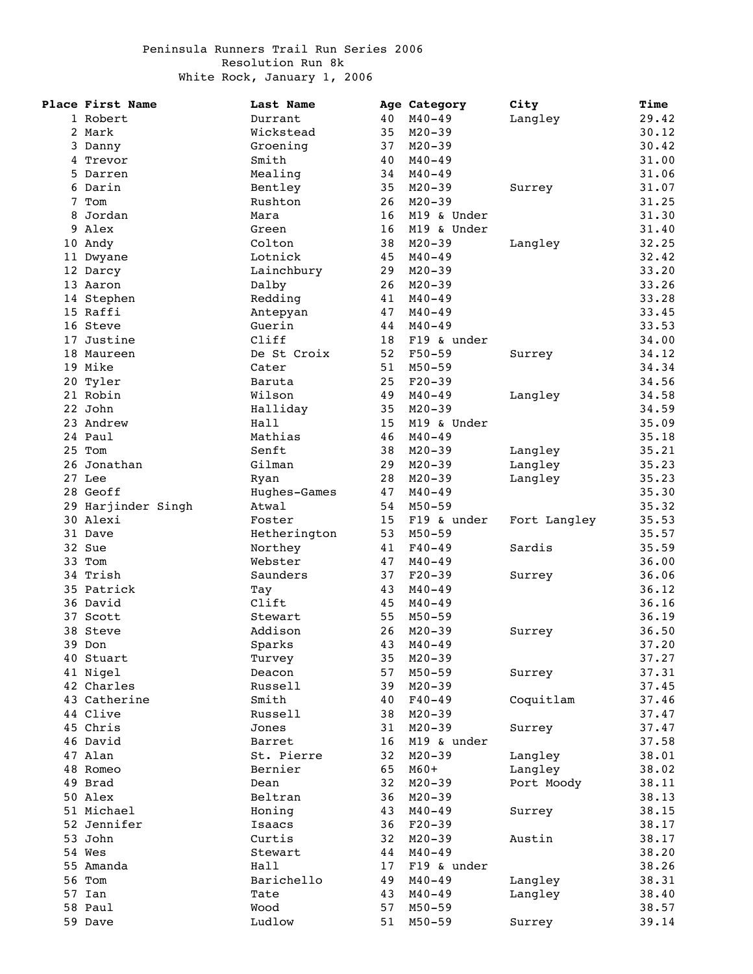## Peninsula Runners Trail Run Series 2006 Resolution Run 8k White Rock, January 1, 2006

| Place First Name   | Last Name    |    | Age Category | City         | Time  |
|--------------------|--------------|----|--------------|--------------|-------|
| 1 Robert           | Durrant      | 40 | $M40 - 49$   | Langley      | 29.42 |
| 2 Mark             | Wickstead    | 35 | $M20 - 39$   |              | 30.12 |
| 3 Danny            | Groening     | 37 | $M20 - 39$   |              | 30.42 |
| 4 Trevor           | Smith        | 40 | $M40 - 49$   |              | 31.00 |
| 5 Darren           | Mealing      | 34 | $M40 - 49$   |              | 31.06 |
| 6 Darin            | Bentley      | 35 | $M20 - 39$   | Surrey       | 31.07 |
| 7 Tom              | Rushton      | 26 | $M20 - 39$   |              | 31.25 |
| 8 Jordan           | Mara         | 16 | M19 & Under  |              | 31.30 |
| 9 Alex             | Green        | 16 | M19 & Under  |              | 31.40 |
| 10 Andy            | Colton       | 38 | $M20 - 39$   |              | 32.25 |
|                    |              |    |              | Langley      |       |
| 11 Dwyane          | Lotnick      | 45 | $M40 - 49$   |              | 32.42 |
| 12 Darcy           | Lainchbury   | 29 | $M20 - 39$   |              | 33.20 |
| 13 Aaron           | Dalby        | 26 | $M20 - 39$   |              | 33.26 |
| 14 Stephen         | Redding      | 41 | $M40 - 49$   |              | 33.28 |
| 15 Raffi           | Antepyan     | 47 | $M40 - 49$   |              | 33.45 |
| 16 Steve           | Guerin       | 44 | $M40 - 49$   |              | 33.53 |
| 17 Justine         | Cliff        | 18 | F19 & under  |              | 34.00 |
| 18 Maureen         | De St Croix  | 52 | F50-59       | Surrey       | 34.12 |
| 19 Mike            | Cater        | 51 | $M50 - 59$   |              | 34.34 |
| 20 Tyler           | Baruta       | 25 | $F20-39$     |              | 34.56 |
| 21 Robin           | Wilson       | 49 | $M40 - 49$   | Langley      | 34.58 |
| 22 John            | Halliday     | 35 | $M20 - 39$   |              | 34.59 |
| 23 Andrew          | Hall         | 15 | M19 & Under  |              | 35.09 |
| 24 Paul            | Mathias      | 46 | $M40 - 49$   |              | 35.18 |
| 25 Tom             | Senft        | 38 | $M20 - 39$   | Langley      | 35.21 |
| 26 Jonathan        | Gilman       | 29 |              |              | 35.23 |
|                    |              |    | $M20 - 39$   | Langley      |       |
| 27 Lee             | Ryan         | 28 | $M20 - 39$   | Langley      | 35.23 |
| 28 Geoff           | Hughes-Games | 47 | $M40 - 49$   |              | 35.30 |
| 29 Harjinder Singh | Atwal        | 54 | $M50 - 59$   |              | 35.32 |
| 30 Alexi           | Foster       | 15 | F19 & under  | Fort Langley | 35.53 |
| 31 Dave            | Hetherington | 53 | $M50 - 59$   |              | 35.57 |
| 32 Sue             | Northey      | 41 | $F40 - 49$   | Sardis       | 35.59 |
| 33 Tom             | Webster      | 47 | $M40 - 49$   |              | 36.00 |
| 34 Trish           | Saunders     | 37 | $F20-39$     | Surrey       | 36.06 |
| 35 Patrick         | Tay          | 43 | $M40 - 49$   |              | 36.12 |
| 36 David           | Clift        | 45 | $M40 - 49$   |              | 36.16 |
| 37 Scott           | Stewart      | 55 | $M50 - 59$   |              | 36.19 |
| 38 Steve           | Addison      | 26 | $M20 - 39$   | Surrey       | 36.50 |
| 39 Don             | Sparks       | 43 | $M40 - 49$   |              | 37.20 |
| 40 Stuart          | Turvey       | 35 | $M20 - 39$   |              | 37.27 |
| 41 Nigel           | Deacon       | 57 | $M50 - 59$   | Surrey       | 37.31 |
| 42 Charles         | Russell      | 39 | $M20 - 39$   |              | 37.45 |
| 43 Catherine       |              |    |              |              |       |
|                    | Smith        | 40 | $F40 - 49$   | Coquitlam    | 37.46 |
| 44 Clive           | Russell      | 38 | $M20 - 39$   |              | 37.47 |
| 45 Chris           | Jones        | 31 | $M20 - 39$   | Surrey       | 37.47 |
| 46 David           | Barret       | 16 | M19 & under  |              | 37.58 |
| 47 Alan            | St. Pierre   | 32 | $M20 - 39$   | Langley      | 38.01 |
| 48 Romeo           | Bernier      | 65 | $M60+$       | Langley      | 38.02 |
| 49 Brad            | Dean         | 32 | $M20 - 39$   | Port Moody   | 38.11 |
| 50 Alex            | Beltran      | 36 | $M20 - 39$   |              | 38.13 |
| 51 Michael         | Honing       | 43 | $M40 - 49$   | Surrey       | 38.15 |
| 52 Jennifer        | Isaacs       | 36 | $F20-39$     |              | 38.17 |
| 53 John            | Curtis       | 32 | $M20 - 39$   | Austin       | 38.17 |
| 54 Wes             | Stewart      | 44 | $M40 - 49$   |              | 38.20 |
| 55 Amanda          | Hall         | 17 | F19 & under  |              | 38.26 |
| 56 Tom             | Barichello   | 49 | $M40 - 49$   | Langley      | 38.31 |
|                    | Tate         |    |              |              | 38.40 |
| 57 Ian             |              | 43 | $M40 - 49$   | Langley      |       |
| 58 Paul            | Wood         | 57 | $M50 - 59$   |              | 38.57 |
| 59 Dave            | Ludlow       | 51 | $M50 - 59$   | Surrey       | 39.14 |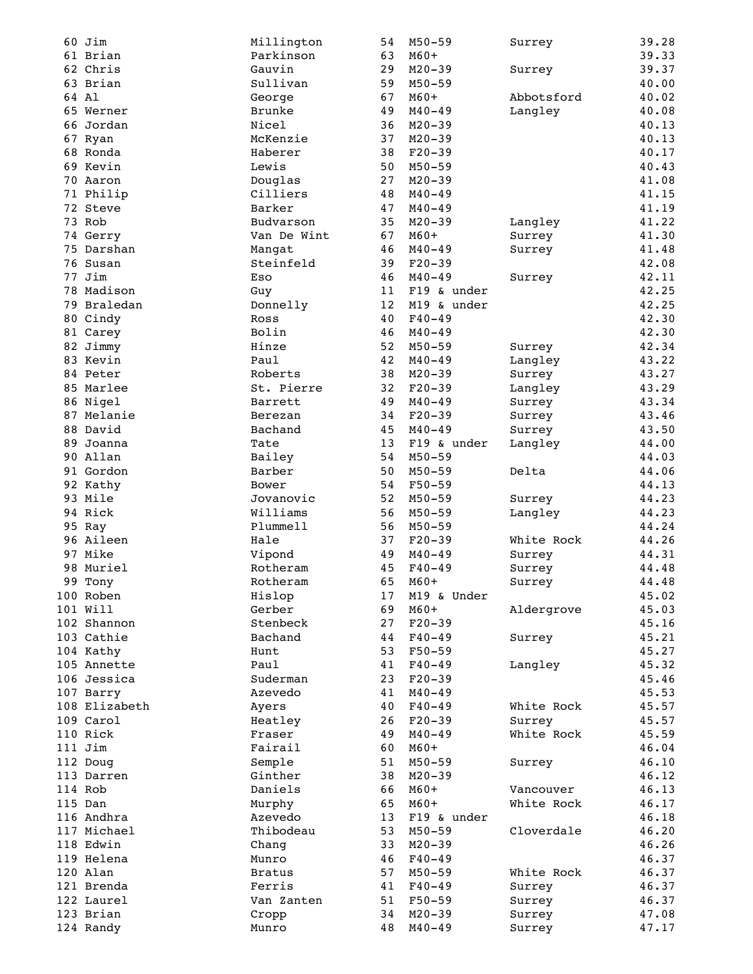|    | 60 Jim        | Millington    | 54 | $M50 - 59$  | Surrey     | 39.28 |
|----|---------------|---------------|----|-------------|------------|-------|
|    | 61 Brian      | Parkinson     | 63 | $M60+$      |            | 39.33 |
|    | 62 Chris      | Gauvin        | 29 | $M20 - 39$  | Surrey     | 39.37 |
|    | 63 Brian      | Sullivan      | 59 | $M50 - 59$  |            | 40.00 |
|    | 64 Al         | George        | 67 | $M60+$      | Abbotsford | 40.02 |
|    | 65 Werner     | Brunke        | 49 | $M40 - 49$  | Langley    | 40.08 |
|    | 66 Jordan     | Nicel         | 36 | $M20 - 39$  |            | 40.13 |
|    |               | McKenzie      | 37 | $M20 - 39$  |            | 40.13 |
|    | 67 Ryan       |               |    |             |            |       |
|    | 68 Ronda      | Haberer       | 38 | $F20-39$    |            | 40.17 |
|    | 69 Kevin      | Lewis         | 50 | $M50 - 59$  |            | 40.43 |
|    | 70 Aaron      | Douglas       | 27 | $M20 - 39$  |            | 41.08 |
|    | 71 Philip     | Cilliers      | 48 | $M40 - 49$  |            | 41.15 |
|    | 72 Steve      | Barker        | 47 | $M40 - 49$  |            | 41.19 |
|    | 73 Rob        | Budvarson     | 35 | $M20 - 39$  | Langley    | 41.22 |
|    | 74 Gerry      | Van De Wint   | 67 | $M60+$      | Surrey     | 41.30 |
|    | 75 Darshan    | Mangat        | 46 | $M40 - 49$  | Surrey     | 41.48 |
|    | 76 Susan      | Steinfeld     | 39 | $F20-39$    |            | 42.08 |
|    | 77 Jim        | Eso           | 46 | $M40 - 49$  | Surrey     | 42.11 |
|    |               |               |    |             |            | 42.25 |
|    | 78 Madison    | Guy           | 11 | F19 & under |            |       |
|    | 79 Braledan   | Donnelly      | 12 | M19 & under |            | 42.25 |
|    | 80 Cindy      | Ross          | 40 | $F40 - 49$  |            | 42.30 |
|    | 81 Carey      | Bolin         | 46 | $M40 - 49$  |            | 42.30 |
|    | 82 Jimmy      | Hinze         | 52 | $M50 - 59$  | Surrey     | 42.34 |
|    | 83 Kevin      | Paul          | 42 | $M40 - 49$  | Langley    | 43.22 |
|    | 84 Peter      | Roberts       | 38 | $M20 - 39$  | Surrey     | 43.27 |
|    | 85 Marlee     | St. Pierre    | 32 | $F20-39$    | Langley    | 43.29 |
|    | 86 Nigel      | Barrett       | 49 | $M40 - 49$  | Surrey     | 43.34 |
|    | 87 Melanie    |               |    |             |            |       |
|    |               | Berezan       | 34 | $F20-39$    | Surrey     | 43.46 |
|    | 88 David      | Bachand       | 45 | $M40 - 49$  | Surrey     | 43.50 |
|    | 89 Joanna     | Tate          | 13 | F19 & under | Langley    | 44.00 |
|    | 90 Allan      | Bailey        | 54 | $M50 - 59$  |            | 44.03 |
|    | 91 Gordon     | Barber        | 50 | $M50 - 59$  | Delta      | 44.06 |
|    | 92 Kathy      | Bower         | 54 | $F50 - 59$  |            | 44.13 |
|    | 93 Mile       | Jovanovic     | 52 | $M50 - 59$  | Surrey     | 44.23 |
|    | 94 Rick       | Williams      | 56 | $M50 - 59$  | Langley    | 44.23 |
|    | 95 Ray        | Plummell      | 56 | $M50 - 59$  |            | 44.24 |
|    | 96 Aileen     | Hale          | 37 | $F20-39$    | White Rock | 44.26 |
|    |               |               |    |             |            |       |
|    | 97 Mike       | Vipond        | 49 | $M40 - 49$  | Surrey     | 44.31 |
|    | 98 Muriel     | Rotheram      | 45 | $F40 - 49$  | Surrey     | 44.48 |
| 99 | Tony          | Rotheram      | 65 | $M60+$      | Surrey     | 44.48 |
|    | 100 Roben     | Hislop        | 17 | M19 & Under |            | 45.02 |
|    | 101 Will      | Gerber        | 69 | $M60+$      | Aldergrove | 45.03 |
|    | 102 Shannon   | Stenbeck      | 27 | $F20-39$    |            | 45.16 |
|    | 103 Cathie    | Bachand       | 44 | $F40 - 49$  | Surrey     | 45.21 |
|    | 104 Kathy     | Hunt          | 53 | $F50 - 59$  |            | 45.27 |
|    | 105 Annette   | Paul          | 41 | $F40 - 49$  | Langley    | 45.32 |
|    | 106 Jessica   | Suderman      | 23 | $F20-39$    |            | 45.46 |
|    | 107 Barry     | Azevedo       | 41 | $M40 - 49$  |            | 45.53 |
|    |               |               |    |             |            |       |
|    | 108 Elizabeth | Ayers         | 40 | $F40 - 49$  | White Rock | 45.57 |
|    | 109 Carol     | Heatley       | 26 | $F20-39$    | Surrey     | 45.57 |
|    | 110 Rick      | Fraser        | 49 | $M40 - 49$  | White Rock | 45.59 |
|    | 111 Jim       | Fairail       | 60 | $M60+$      |            | 46.04 |
|    | 112 Doug      | Semple        | 51 | $M50 - 59$  | Surrey     | 46.10 |
|    | 113 Darren    | Ginther       | 38 | $M20 - 39$  |            | 46.12 |
|    | 114 Rob       | Daniels       | 66 | $M60+$      | Vancouver  | 46.13 |
|    | 115 Dan       | Murphy        | 65 | $M60+$      | White Rock | 46.17 |
|    | 116 Andhra    | Azevedo       | 13 | F19 & under |            | 46.18 |
|    |               |               |    |             |            |       |
|    | 117 Michael   | Thibodeau     | 53 | $M50 - 59$  | Cloverdale | 46.20 |
|    | 118 Edwin     | Chang         | 33 | $M20 - 39$  |            | 46.26 |
|    | 119 Helena    | Munro         | 46 | $F40 - 49$  |            | 46.37 |
|    | 120 Alan      | <b>Bratus</b> | 57 | $M50 - 59$  | White Rock | 46.37 |
|    | 121 Brenda    | Ferris        | 41 | $F40 - 49$  | Surrey     | 46.37 |
|    | 122 Laurel    | Van Zanten    | 51 | $F50 - 59$  | Surrey     | 46.37 |
|    | 123 Brian     | Cropp         | 34 | $M20 - 39$  | Surrey     | 47.08 |
|    | 124 Randy     | Munro         | 48 | $M40 - 49$  | Surrey     | 47.17 |
|    |               |               |    |             |            |       |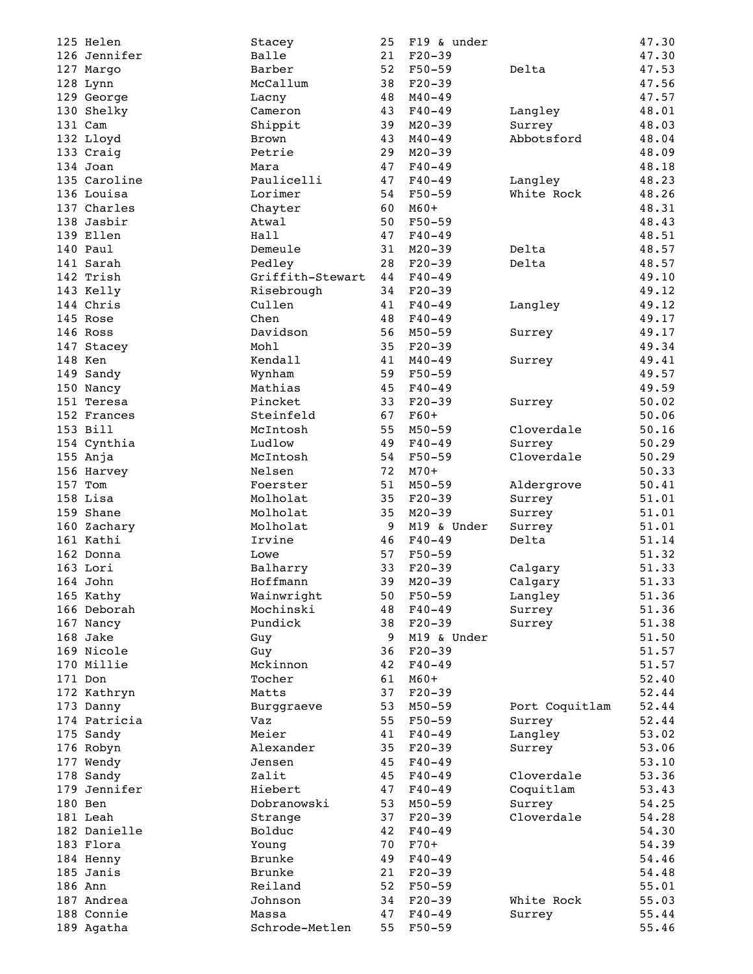| 125 Helen                | Stacey                  | 25       | F19 & under              |                | 47.30          |
|--------------------------|-------------------------|----------|--------------------------|----------------|----------------|
|                          |                         |          |                          |                |                |
| 126 Jennifer             | Balle                   | 21       | $F20-39$                 |                | 47.30          |
| 127 Margo                | Barber                  | 52       | $F50 - 59$               | Delta          | 47.53          |
| 128 Lynn                 | McCallum                | 38       | $F20-39$                 |                | 47.56          |
| 129 George               | Lacny                   | 48       | $M40 - 49$               |                | 47.57          |
|                          |                         |          |                          |                |                |
| 130 Shelky               | Cameron                 | 43       | $F40 - 49$               | Langley        | 48.01          |
| 131 Cam                  | Shippit                 | 39       | $M20 - 39$               | Surrey         | 48.03          |
| 132 Lloyd                | <b>Brown</b>            | 43       | $M40 - 49$               | Abbotsford     | 48.04          |
| 133 Craig                | Petrie                  | 29       | $M20 - 39$               |                | 48.09          |
|                          |                         |          |                          |                |                |
| 134 Joan                 | Mara                    | 47       | $F40 - 49$               |                | 48.18          |
| 135 Caroline             | Paulicelli              | 47       | $F40 - 49$               | Langley        | 48.23          |
| 136 Louisa               | Lorimer                 | 54       | $F50-59$                 | White Rock     | 48.26          |
| 137 Charles              | Chayter                 | 60       | $M60+$                   |                | 48.31          |
|                          |                         |          |                          |                |                |
| 138 Jasbir               | Atwal                   | 50       | $F50 - 59$               |                | 48.43          |
| 139 Ellen                | Hall                    | 47       | $F40 - 49$               |                | 48.51          |
| 140 Paul                 | Demeule                 | 31       | $M20 - 39$               | Delta          | 48.57          |
| 141 Sarah                | Pedley                  | 28       | $F20-39$                 | Delta          | 48.57          |
|                          |                         |          |                          |                |                |
| 142 Trish                | Griffith-Stewart        | 44       | $F40 - 49$               |                | 49.10          |
| 143 Kelly                | Risebrough              | 34       | $F20-39$                 |                | 49.12          |
| 144 Chris                | Cullen                  | 41       | $F40 - 49$               | Langley        | 49.12          |
| 145 Rose                 | Chen                    | 48       | $F40-49$                 |                | 49.17          |
|                          |                         |          |                          |                |                |
| 146 Ross                 | Davidson                | 56       | $M50 - 59$               | Surrey         | 49.17          |
| 147 Stacey               | Mohl                    | 35       | $F20-39$                 |                | 49.34          |
| 148 Ken                  | Kendall                 | 41       | $M40 - 49$               | Surrey         | 49.41          |
| 149 Sandy                | Wynham                  | 59       | $F50 - 59$               |                | 49.57          |
|                          | Mathias                 |          |                          |                |                |
| 150 Nancy                |                         | 45       | $F40 - 49$               |                | 49.59          |
| 151 Teresa               | Pincket                 | 33       | $F20-39$                 | Surrey         | 50.02          |
| 152 Frances              | Steinfeld               | 67       | $F60+$                   |                | 50.06          |
| 153 Bill                 | McIntosh                | 55       | $M50 - 59$               | Cloverdale     | 50.16          |
|                          | Ludlow                  | 49       |                          |                |                |
| 154 Cynthia              |                         |          | $F40 - 49$               | Surrey         | 50.29          |
| 155 Anja                 | McIntosh                | 54       | $F50 - 59$               | Cloverdale     | 50.29          |
| 156 Harvey               | Nelsen                  | 72       | $M70+$                   |                | 50.33          |
| 157 Tom                  | Foerster                | 51       | $M50 - 59$               | Aldergrove     | 50.41          |
| 158 Lisa                 | Molholat                | 35       |                          |                | 51.01          |
|                          |                         |          | $F20-39$                 | Surrey         |                |
| 159 Shane                | Molholat                | 35       | $M20 - 39$               | Surrey         | 51.01          |
| 160 Zachary              | Molholat                | 9        | M19 & Under              | Surrey         | 51.01          |
| 161 Kathi                | Irvine                  | 46       | $F40 - 49$               | Delta          | 51.14          |
| 162 Donna                | Lowe                    | 57       | $F50 - 59$               |                | 51.32          |
|                          |                         |          |                          |                |                |
| 163 Lori                 | Balharry                | 33       | $F20-39$                 | Calgary        | 51.33          |
| 164 John                 | Hoffmann                | 39       | $M20 - 39$               | Calgary        | 51.33          |
| 165 Kathy                | Wainwright              | 50       | $F50 - 59$               | Langley        | 51.36          |
| 166 Deborah              | Mochinski               | 48       | $F40 - 49$               | Surrey         | 51.36          |
|                          |                         |          |                          |                |                |
| 167 Nancy                | Pundick                 | 38       | $F20-39$                 | Surrey         | 51.38          |
| 168 Jake                 | Guy                     | 9        | M19 & Under              |                | 51.50          |
| 169 Nicole               | Guy                     | 36       | $F20-39$                 |                | 51.57          |
| 170 Millie               | Mckinnon                | 42       | $F40 - 49$               |                | 51.57          |
| 171 Don                  |                         |          |                          |                |                |
|                          | Tocher                  | 61       | $M60+$                   |                | 52.40          |
| 172 Kathryn              | Matts                   | 37       | $F20-39$                 |                | 52.44          |
| 173 Danny                | Burggraeve              | 53       | $M50 - 59$               | Port Coquitlam | 52.44          |
| 174 Patricia             | Vaz                     | 55       | $F50 - 59$               | Surrey         | 52.44          |
|                          | Meier                   | 41       |                          |                | 53.02          |
| 175 Sandy                |                         |          | $F40 - 49$               | Langley        |                |
| 176 Robyn                | Alexander               | 35       | $F20-39$                 | Surrey         | 53.06          |
| 177 Wendy                | Jensen                  | 45       | $F40 - 49$               |                | 53.10          |
| 178 Sandy                | Zalit                   | 45       | $F40 - 49$               | Cloverdale     | 53.36          |
| 179 Jennifer             | Hiebert                 | 47       | $F40 - 49$               | Coquitlam      | 53.43          |
|                          |                         |          |                          |                |                |
| 180 Ben                  | Dobranowski             | 53       | $M50 - 59$               | Surrey         | 54.25          |
| 181 Leah                 | Strange                 | 37       | $F20-39$                 | Cloverdale     | 54.28          |
| 182 Danielle             | Bolduc                  | 42       | $F40 - 49$               |                | 54.30          |
| 183 Flora                | Young                   | 70       | $F70+$                   |                | 54.39          |
|                          |                         |          |                          |                |                |
| 184 Henny                | <b>Brunke</b>           | 49       | $F40 - 49$               |                | 54.46          |
| 185 Janis                | Brunke                  | 21       | $F20-39$                 |                | 54.48          |
| 186 Ann                  | Reiland                 | 52       | $F50 - 59$               |                | 55.01          |
|                          | Johnson                 | 34       | $F20-39$                 | White Rock     | 55.03          |
|                          |                         |          |                          |                |                |
| 187 Andrea               |                         |          |                          |                |                |
| 188 Connie<br>189 Agatha | Massa<br>Schrode-Metlen | 47<br>55 | $F40 - 49$<br>$F50 - 59$ | Surrey         | 55.44<br>55.46 |